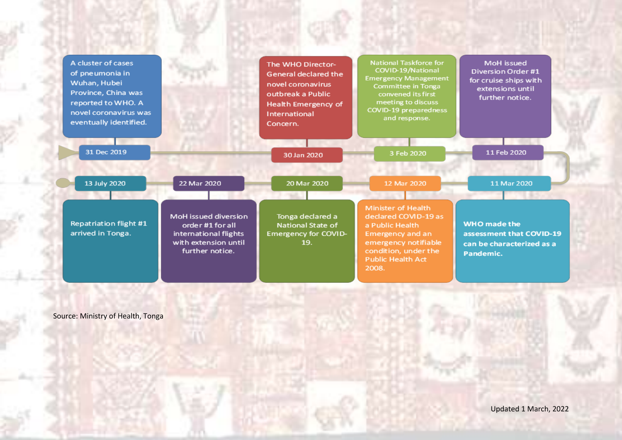| A cluster of cases<br>of pneumonia in<br>Wuhan, Hubei<br>Province, China was<br>reported to WHO. A<br>novel coronavirus was<br>eventually identified. |                                                                                                              | The WHO Director-<br><b>General declared the</b><br>novel coronavirus<br>outbreak a Public.<br>Health Emergency of<br>International<br>Concern. | <b>National Taskforce for</b><br>COVID-19/National<br><b>Emergency Management</b><br>Committee in Tonga<br>convened its first<br>meeting to discuss<br>COVID-19 preparedness<br>and response. | MoH issued<br>Diversion Order #1<br>for cruise ships with<br>extensions until<br>further notice. |
|-------------------------------------------------------------------------------------------------------------------------------------------------------|--------------------------------------------------------------------------------------------------------------|-------------------------------------------------------------------------------------------------------------------------------------------------|-----------------------------------------------------------------------------------------------------------------------------------------------------------------------------------------------|--------------------------------------------------------------------------------------------------|
| 31 Dec 2019                                                                                                                                           |                                                                                                              | 30 Jan 2020                                                                                                                                     | 3 Feb 2020                                                                                                                                                                                    | 11 Feb 2020                                                                                      |
| 13 July 2020                                                                                                                                          | 22 Mar 2020                                                                                                  | 20 Mar 2020                                                                                                                                     | 12 Mar 2020                                                                                                                                                                                   | 11 Mar 2020                                                                                      |
| <b>Repatriation flight #1</b><br>arrived in Tonga.                                                                                                    | MoH issued diversion<br>order #1 for all<br>international flights<br>with extension until<br>further notice. | Tonga declared a<br><b>National State of</b><br><b>Emergency for COVID-</b><br>19.                                                              | <b>Minister of Health</b><br>declared COVID-19 as<br>a Public Health<br>Emergency and an<br>emergency notifiable<br>condition, under the<br><b>Public Health Act</b><br>2008.                 | <b>WHO</b> made the<br>assessment that COVID-19<br>can be characterized as a<br>Pandemic.        |

Source: Ministry of Health, Tonga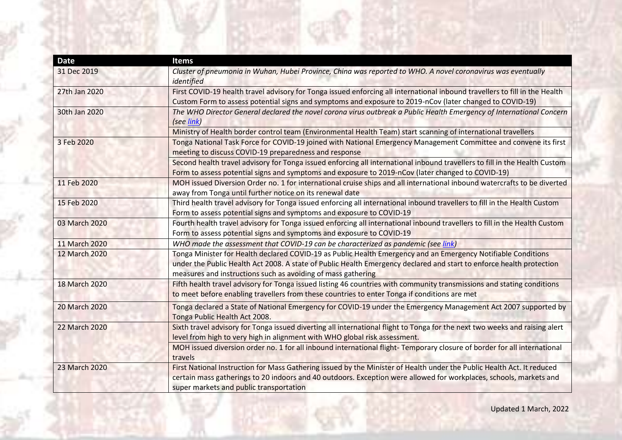| <b>Date</b>   | <b>Items</b>                                                                                                                                                                                                                                                                                          |
|---------------|-------------------------------------------------------------------------------------------------------------------------------------------------------------------------------------------------------------------------------------------------------------------------------------------------------|
| 31 Dec 2019   | Cluster of pneumonia in Wuhan, Hubei Province, China was reported to WHO. A novel coronavirus was eventually<br>identified                                                                                                                                                                            |
| 27th Jan 2020 | First COVID-19 health travel advisory for Tonga issued enforcing all international inbound travellers to fill in the Health<br>Custom Form to assess potential signs and symptoms and exposure to 2019-nCov (later changed to COVID-19)                                                               |
| 30th Jan 2020 | The WHO Director General declared the novel corona virus outbreak a Public Health Emergency of International Concern<br>(see link)                                                                                                                                                                    |
|               | Ministry of Health border control team (Environmental Health Team) start scanning of international travellers                                                                                                                                                                                         |
| 3 Feb 2020    | Tonga National Task Force for COVID-19 joined with National Emergency Management Committee and convene its first<br>meeting to discuss COVID-19 preparedness and response                                                                                                                             |
|               | Second health travel advisory for Tonga issued enforcing all international inbound travellers to fill in the Health Custom<br>Form to assess potential signs and symptoms and exposure to 2019-nCov (later changed to COVID-19)                                                                       |
| 11 Feb 2020   | MOH issued Diversion Order no. 1 for international cruise ships and all international inbound watercrafts to be diverted<br>away from Tonga until further notice on its renewal date                                                                                                                  |
| 15 Feb 2020   | Third health travel advisory for Tonga issued enforcing all international inbound travellers to fill in the Health Custom<br>Form to assess potential signs and symptoms and exposure to COVID-19                                                                                                     |
| 03 March 2020 | Fourth health travel advisory for Tonga issued enforcing all international inbound travellers to fill in the Health Custom<br>Form to assess potential signs and symptoms and exposure to COVID-19                                                                                                    |
| 11 March 2020 | WHO made the assessment that COVID-19 can be characterized as pandemic (see link)                                                                                                                                                                                                                     |
| 12 March 2020 | Tonga Minister for Health declared COVID-19 as Public Health Emergency and an Emergency Notifiable Conditions<br>under the Public Health Act 2008. A state of Public Health Emergency declared and start to enforce health protection<br>measures and instructions such as avoiding of mass gathering |
| 18 March 2020 | Fifth health travel advisory for Tonga issued listing 46 countries with community transmissions and stating conditions<br>to meet before enabling travellers from these countries to enter Tonga if conditions are met                                                                                |
| 20 March 2020 | Tonga declared a State of National Emergency for COVID-19 under the Emergency Management Act 2007 supported by<br>Tonga Public Health Act 2008.                                                                                                                                                       |
| 22 March 2020 | Sixth travel advisory for Tonga issued diverting all international flight to Tonga for the next two weeks and raising alert<br>level from high to very high in alignment with WHO global risk assessment.                                                                                             |
|               | MOH issued diversion order no. 1 for all inbound international flight-Temporary closure of border for all international<br>travels                                                                                                                                                                    |
| 23 March 2020 | First National Instruction for Mass Gathering issued by the Minister of Health under the Public Health Act. It reduced<br>certain mass gatherings to 20 indoors and 40 outdoors. Exception were allowed for workplaces, schools, markets and<br>super markets and public transportation               |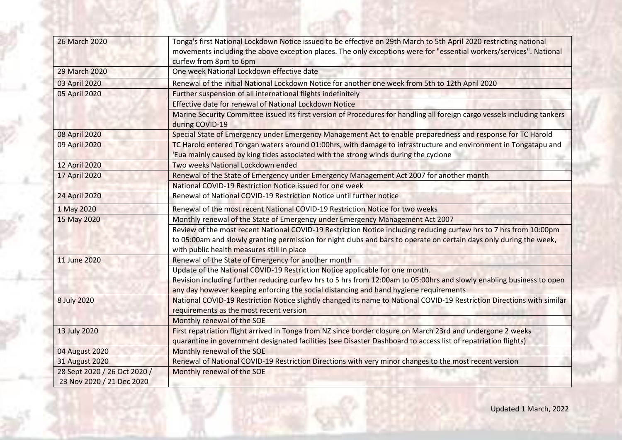| 26 March 2020                | Tonga's first National Lockdown Notice issued to be effective on 29th March to 5th April 2020 restricting national<br>movements including the above exception places. The only exceptions were for "essential workers/services". National<br>curfew from 8pm to 6pm                            |  |
|------------------------------|------------------------------------------------------------------------------------------------------------------------------------------------------------------------------------------------------------------------------------------------------------------------------------------------|--|
| 29 March 2020                | One week National Lockdown effective date                                                                                                                                                                                                                                                      |  |
| 03 April 2020                | Renewal of the initial National Lockdown Notice for another one week from 5th to 12th April 2020                                                                                                                                                                                               |  |
| 05 April 2020                | Further suspension of all international flights indefinitely                                                                                                                                                                                                                                   |  |
|                              | Effective date for renewal of National Lockdown Notice                                                                                                                                                                                                                                         |  |
|                              | Marine Security Committee issued its first version of Procedures for handling all foreign cargo vessels including tankers<br>during COVID-19                                                                                                                                                   |  |
| 08 April 2020                | Special State of Emergency under Emergency Management Act to enable preparedness and response for TC Harold                                                                                                                                                                                    |  |
| 09 April 2020                | TC Harold entered Tongan waters around 01:00hrs, with damage to infrastructure and environment in Tongatapu and<br>'Eua mainly caused by king tides associated with the strong winds during the cyclone                                                                                        |  |
| 12 April 2020                | Two weeks National Lockdown ended                                                                                                                                                                                                                                                              |  |
| 17 April 2020                | Renewal of the State of Emergency under Emergency Management Act 2007 for another month                                                                                                                                                                                                        |  |
|                              | National COVID-19 Restriction Notice issued for one week                                                                                                                                                                                                                                       |  |
| 24 April 2020                | Renewal of National COVID-19 Restriction Notice until further notice                                                                                                                                                                                                                           |  |
| 1 May 2020                   | Renewal of the most recent National COVID-19 Restriction Notice for two weeks                                                                                                                                                                                                                  |  |
| 15 May 2020                  | Monthly renewal of the State of Emergency under Emergency Management Act 2007                                                                                                                                                                                                                  |  |
|                              | Review of the most recent National COVID-19 Restriction Notice including reducing curfew hrs to 7 hrs from 10:00pm<br>to 05:00am and slowly granting permission for night clubs and bars to operate on certain days only during the week,                                                      |  |
|                              | with public health measures still in place                                                                                                                                                                                                                                                     |  |
| 11 June 2020                 | Renewal of the State of Emergency for another month                                                                                                                                                                                                                                            |  |
|                              | Update of the National COVID-19 Restriction Notice applicable for one month.<br>Revision including further reducing curfew hrs to 5 hrs from 12:00am to 05:00hrs and slowly enabling business to open<br>any day however keeping enforcing the social distancing and hand hygiene requirements |  |
| 8 July 2020                  | National COVID-19 Restriction Notice slightly changed its name to National COVID-19 Restriction Directions with similar<br>requirements as the most recent version                                                                                                                             |  |
|                              | Monthly renewal of the SOE                                                                                                                                                                                                                                                                     |  |
| 13 July 2020                 | First repatriation flight arrived in Tonga from NZ since border closure on March 23rd and undergone 2 weeks<br>quarantine in government designated facilities (see Disaster Dashboard to access list of repatriation flights)                                                                  |  |
| 04 August 2020               | Monthly renewal of the SOE                                                                                                                                                                                                                                                                     |  |
| <b>31 August 2020</b>        | Renewal of National COVID-19 Restriction Directions with very minor changes to the most recent version                                                                                                                                                                                         |  |
| 28 Sept 2020 / 26 Oct 2020 / | Monthly renewal of the SOE                                                                                                                                                                                                                                                                     |  |
| 23 Nov 2020 / 21 Dec 2020    |                                                                                                                                                                                                                                                                                                |  |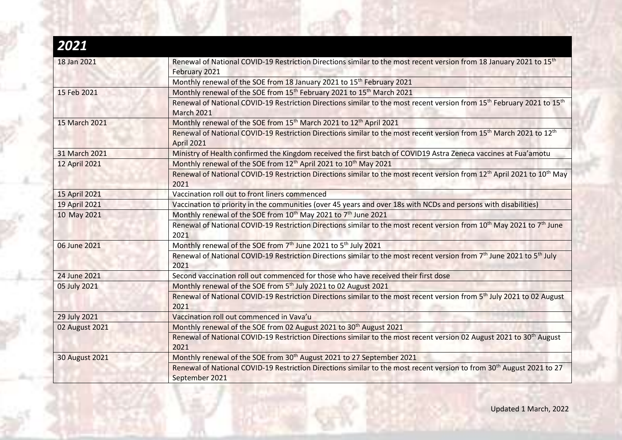| 2021                  |                                                                                                                                                                     |  |
|-----------------------|---------------------------------------------------------------------------------------------------------------------------------------------------------------------|--|
| 18 Jan 2021           | Renewal of National COVID-19 Restriction Directions similar to the most recent version from 18 January 2021 to 15 <sup>th</sup><br>February 2021                    |  |
|                       | Monthly renewal of the SOE from 18 January 2021 to 15 <sup>th</sup> February 2021                                                                                   |  |
| 15 Feb 2021           | Monthly renewal of the SOE from 15 <sup>th</sup> February 2021 to 15 <sup>th</sup> March 2021                                                                       |  |
|                       | Renewal of National COVID-19 Restriction Directions similar to the most recent version from 15 <sup>th</sup> February 2021 to 15 <sup>th</sup><br><b>March 2021</b> |  |
| 15 March 2021         | Monthly renewal of the SOE from 15 <sup>th</sup> March 2021 to 12 <sup>th</sup> April 2021                                                                          |  |
|                       | Renewal of National COVID-19 Restriction Directions similar to the most recent version from 15 <sup>th</sup> March 2021 to 12 <sup>th</sup><br><b>April 2021</b>    |  |
| 31 March 2021         | Ministry of Health confirmed the Kingdom received the first batch of COVID19 Astra Zeneca vaccines at Fua'amotu                                                     |  |
| 12 April 2021         | Monthly renewal of the SOE from 12 <sup>th</sup> April 2021 to 10 <sup>th</sup> May 2021                                                                            |  |
|                       | Renewal of National COVID-19 Restriction Directions similar to the most recent version from 12 <sup>th</sup> April 2021 to 10 <sup>th</sup> May<br>2021             |  |
| 15 April 2021         | Vaccination roll out to front liners commenced                                                                                                                      |  |
| 19 April 2021         | Vaccination to priority in the communities (over 45 years and over 18s with NCDs and persons with disabilities)                                                     |  |
| 10 May 2021           | Monthly renewal of the SOE from 10 <sup>th</sup> May 2021 to 7 <sup>th</sup> June 2021                                                                              |  |
|                       | Renewal of National COVID-19 Restriction Directions similar to the most recent version from 10 <sup>th</sup> May 2021 to 7 <sup>th</sup> June<br>2021               |  |
| 06 June 2021          | Monthly renewal of the SOE from 7th June 2021 to 5th July 2021                                                                                                      |  |
|                       | Renewal of National COVID-19 Restriction Directions similar to the most recent version from 7 <sup>th</sup> June 2021 to 5 <sup>th</sup> July<br>2021               |  |
| 24 June 2021          | Second vaccination roll out commenced for those who have received their first dose                                                                                  |  |
| 05 July 2021          | Monthly renewal of the SOE from 5 <sup>th</sup> July 2021 to 02 August 2021                                                                                         |  |
|                       | Renewal of National COVID-19 Restriction Directions similar to the most recent version from 5 <sup>th</sup> July 2021 to 02 August<br>2021                          |  |
| 29 July 2021          | Vaccination roll out commenced in Vava'u                                                                                                                            |  |
| 02 August 2021        | Monthly renewal of the SOE from 02 August 2021 to 30 <sup>th</sup> August 2021                                                                                      |  |
|                       | Renewal of National COVID-19 Restriction Directions similar to the most recent version 02 August 2021 to 30 <sup>th</sup> August<br>2021                            |  |
| <b>30 August 2021</b> | Monthly renewal of the SOE from 30 <sup>th</sup> August 2021 to 27 September 2021                                                                                   |  |
|                       | Renewal of National COVID-19 Restriction Directions similar to the most recent version to from 30 <sup>th</sup> August 2021 to 27<br>September 2021                 |  |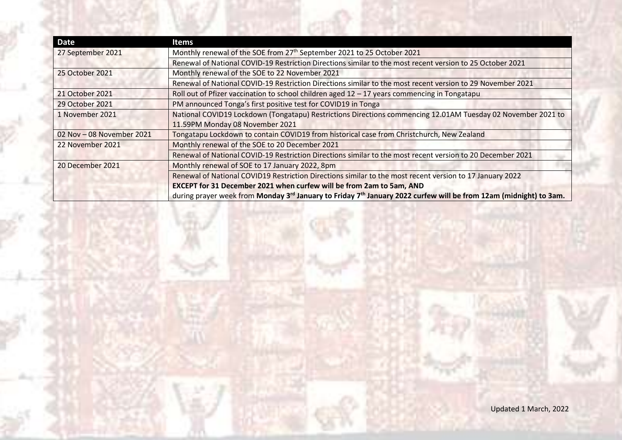| <b>Date</b>               | <b>Items</b>                                                                                                                              |
|---------------------------|-------------------------------------------------------------------------------------------------------------------------------------------|
| 27 September 2021         | Monthly renewal of the SOE from 27 <sup>th</sup> September 2021 to 25 October 2021                                                        |
|                           | Renewal of National COVID-19 Restriction Directions similar to the most recent version to 25 October 2021                                 |
| 25 October 2021           | Monthly renewal of the SOE to 22 November 2021                                                                                            |
|                           | Renewal of National COVID-19 Restriction Directions similar to the most recent version to 29 November 2021                                |
| 21 October 2021           | Roll out of Pfizer vaccination to school children aged $12 - 17$ years commencing in Tongatapu                                            |
| 29 October 2021           | PM announced Tonga's first positive test for COVID19 in Tonga                                                                             |
| 1 November 2021           | National COVID19 Lockdown (Tongatapu) Restrictions Directions commencing 12.01AM Tuesday 02 November 2021 to                              |
|                           | 11.59PM Monday 08 November 2021                                                                                                           |
| 02 Nov - 08 November 2021 | Tongatapu Lockdown to contain COVID19 from historical case from Christchurch, New Zealand                                                 |
| 22 November 2021          | Monthly renewal of the SOE to 20 December 2021                                                                                            |
|                           | Renewal of National COVID-19 Restriction Directions similar to the most recent version to 20 December 2021                                |
| 20 December 2021          | Monthly renewal of SOE to 17 January 2022, 8pm                                                                                            |
|                           | Renewal of National COVID19 Restriction Directions similar to the most recent version to 17 January 2022                                  |
|                           | EXCEPT for 31 December 2021 when curfew will be from 2am to 5am, AND                                                                      |
|                           | during prayer week from Monday 3 <sup>rd</sup> January to Friday 7 <sup>th</sup> January 2022 curfew will be from 12am (midnight) to 3am. |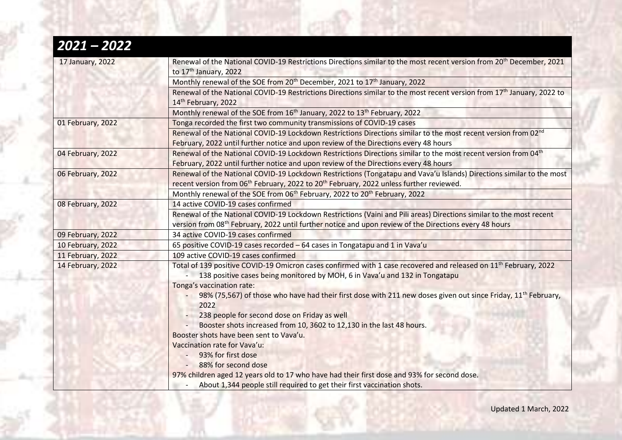| $2021 - 2022$     |                                                                                                                                                                                                                                           |
|-------------------|-------------------------------------------------------------------------------------------------------------------------------------------------------------------------------------------------------------------------------------------|
| 17 January, 2022  | Renewal of the National COVID-19 Restrictions Directions similar to the most recent version from 20 <sup>th</sup> December, 2021<br>to 17 <sup>th</sup> January, 2022                                                                     |
|                   | Monthly renewal of the SOE from 20 <sup>th</sup> December, 2021 to 17 <sup>th</sup> January, 2022                                                                                                                                         |
|                   | Renewal of the National COVID-19 Restrictions Directions similar to the most recent version from 17 <sup>th</sup> January, 2022 to<br>14th February, 2022                                                                                 |
|                   | Monthly renewal of the SOE from 16 <sup>th</sup> January, 2022 to 13 <sup>th</sup> February, 2022                                                                                                                                         |
| 01 February, 2022 | Tonga recorded the first two community transmissions of COVID-19 cases                                                                                                                                                                    |
|                   | Renewal of the National COVID-19 Lockdown Restrictions Directions similar to the most recent version from 02 <sup>nd</sup><br>February, 2022 until further notice and upon review of the Directions every 48 hours                        |
| 04 February, 2022 | Renewal of the National COVID-19 Lockdown Restrictions Directions similar to the most recent version from 04 <sup>th</sup><br>February, 2022 until further notice and upon review of the Directions every 48 hours                        |
| 06 February, 2022 | Renewal of the National COVID-19 Lockdown Restrictions (Tongatapu and Vava'u Islands) Directions similar to the most<br>recent version from 06 <sup>th</sup> February, 2022 to 20 <sup>th</sup> February, 2022 unless further reviewed.   |
|                   | Monthly renewal of the SOE from 06 <sup>th</sup> February, 2022 to 20 <sup>th</sup> February, 2022                                                                                                                                        |
| 08 February, 2022 | 14 active COVID-19 cases confirmed                                                                                                                                                                                                        |
|                   | Renewal of the National COVID-19 Lockdown Restrictions (Vaini and Pili areas) Directions similar to the most recent<br>version from 08 <sup>th</sup> February, 2022 until further notice and upon review of the Directions every 48 hours |
| 09 February, 2022 | 34 active COVID-19 cases confirmed                                                                                                                                                                                                        |
| 10 February, 2022 | 65 positive COVID-19 cases recorded - 64 cases in Tongatapu and 1 in Vava'u                                                                                                                                                               |
| 11 February, 2022 | 109 active COVID-19 cases confirmed                                                                                                                                                                                                       |
| 14 February, 2022 | Total of 139 positive COVID-19 Omicron cases confirmed with 1 case recovered and released on 11 <sup>th</sup> February, 2022<br>138 positive cases being monitored by MOH, 6 in Vava'u and 132 in Tongatapu<br>Tonga's vaccination rate:  |
|                   | 98% (75,567) of those who have had their first dose with 211 new doses given out since Friday, 11 <sup>th</sup> February,<br>2022                                                                                                         |
|                   | 238 people for second dose on Friday as well                                                                                                                                                                                              |
|                   | Booster shots increased from 10, 3602 to 12,130 in the last 48 hours.                                                                                                                                                                     |
|                   | Booster shots have been sent to Vava'u.                                                                                                                                                                                                   |
|                   | Vaccination rate for Vava'u:                                                                                                                                                                                                              |
|                   | 93% for first dose                                                                                                                                                                                                                        |
|                   | 88% for second dose                                                                                                                                                                                                                       |
|                   | 97% children aged 12 years old to 17 who have had their first dose and 93% for second dose.                                                                                                                                               |
|                   | About 1,344 people still required to get their first vaccination shots.                                                                                                                                                                   |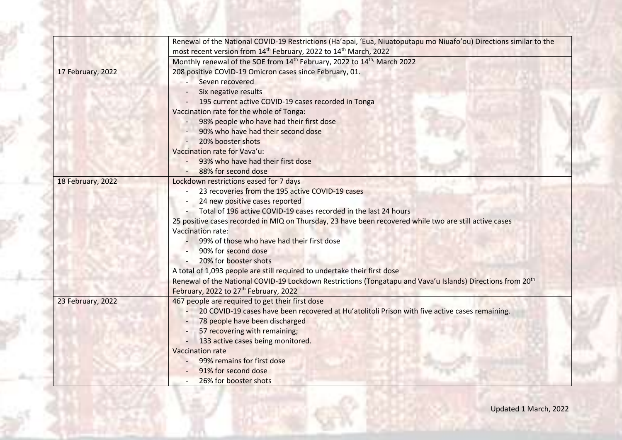|                   | Renewal of the National COVID-19 Restrictions (Ha'apai, 'Eua, Niuatoputapu mo Niuafo'ou) Directions similar to the<br>most recent version from 14 <sup>th</sup> February, 2022 to 14 <sup>th</sup> March, 2022                                                                                                                                                                                                                                                                                                                                                                                                                                                                      |
|-------------------|-------------------------------------------------------------------------------------------------------------------------------------------------------------------------------------------------------------------------------------------------------------------------------------------------------------------------------------------------------------------------------------------------------------------------------------------------------------------------------------------------------------------------------------------------------------------------------------------------------------------------------------------------------------------------------------|
|                   | Monthly renewal of the SOE from 14 <sup>th</sup> February, 2022 to 14 <sup>th,</sup> March 2022                                                                                                                                                                                                                                                                                                                                                                                                                                                                                                                                                                                     |
| 17 February, 2022 | 208 positive COVID-19 Omicron cases since February, 01.<br>Seven recovered<br>Six negative results<br>195 current active COVID-19 cases recorded in Tonga<br>Vaccination rate for the whole of Tonga:<br>98% people who have had their first dose<br>90% who have had their second dose<br>20% booster shots<br>Vaccination rate for Vava'u:<br>93% who have had their first dose<br>88% for second dose                                                                                                                                                                                                                                                                            |
| 18 February, 2022 | Lockdown restrictions eased for 7 days<br>23 recoveries from the 195 active COVID-19 cases<br>24 new positive cases reported<br>Total of 196 active COVID-19 cases recorded in the last 24 hours<br>25 positive cases recorded in MIQ on Thursday, 23 have been recovered while two are still active cases<br><b>Vaccination rate:</b><br>99% of those who have had their first dose<br>90% for second dose<br>20% for booster shots<br>A total of 1,093 people are still required to undertake their first dose<br>Renewal of the National COVID-19 Lockdown Restrictions (Tongatapu and Vava'u Islands) Directions from 20th<br>February, 2022 to 27 <sup>th</sup> February, 2022 |
| 23 February, 2022 | 467 people are required to get their first dose<br>20 COVID-19 cases have been recovered at Hu'atolitoli Prison with five active cases remaining.<br>78 people have been discharged<br>57 recovering with remaining;<br>133 active cases being monitored.<br><b>Vaccination rate</b><br>99% remains for first dose<br>91% for second dose<br>26% for booster shots<br>$\overline{\phantom{a}}$                                                                                                                                                                                                                                                                                      |